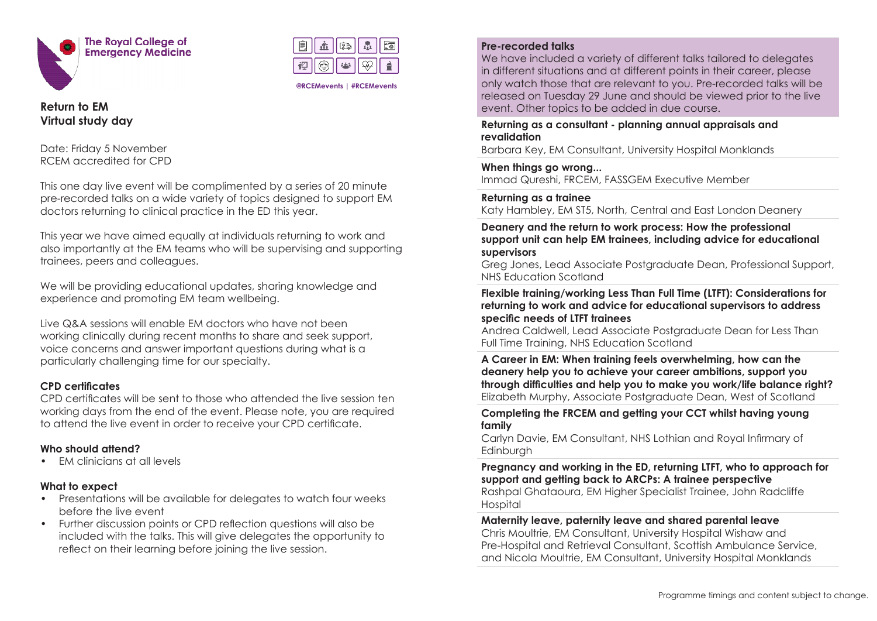



**@RCEMevents | #RCEMevents**

**Return to EM Virtual study day** 

Date: Friday 5 November RCEM accredited for CPD

This one day live event will be complimented by a series of 20 minute pre-recorded talks on a wide variety of topics designed to support EM doctors returning to clinical practice in the ED this year.

This year we have aimed equally at individuals returning to work and also importantly at the EM teams who will be supervising and supporting trainees, peers and colleagues.

We will be providing educational updates, sharing knowledge and experience and promoting EM team wellbeing.

Live Q&A sessions will enable EM doctors who have not been working clinically during recent months to share and seek support, voice concerns and answer important questions during what is a particularly challenging time for our specialty.

## **CPD certificates**

CPD certificates will be sent to those who attended the live session ten working days from the end of the event. Please note, you are required to attend the live event in order to receive your CPD certificate.

## **Who should attend?**

• EM clinicians at all levels

## **What to expect**

- Presentations will be available for delegates to watch four weeks before the live event
- Further discussion points or CPD reflection questions will also be included with the talks. This will give delegates the opportunity to reflect on their learning before joining the live session.

## **Pre-recorded talks**

We have included a variety of different talks tailored to delegates in different situations and at different points in their career, please only watch those that are relevant to you. Pre-recorded talks will be released on Tuesday 29 June and should be viewed prior to the live event. Other topics to be added in due course.

**Returning as a consultant - planning annual appraisals and revalidation**

Barbara Key, EM Consultant, University Hospital Monklands

**When things go wrong...** Immad Qureshi, FRCEM, FASSGEM Executive Member

**Returning as a trainee**

Katy Hambley, EM ST5, North, Central and East London Deanery

**Deanery and the return to work process: How the professional support unit can help EM trainees, including advice for educational supervisors**

Greg Jones, Lead Associate Postgraduate Dean, Professional Support, NHS Education Scotland

**Flexible training/working Less Than Full Time (LTFT): Considerations for returning to work and advice for educational supervisors to address specific needs of LTFT trainees**

Andrea Caldwell, Lead Associate Postgraduate Dean for Less Than Full Time Training, NHS Education Scotland

**A Career in EM: When training feels overwhelming, how can the deanery help you to achieve your career ambitions, support you through difficulties and help you to make you work/life balance right?** Elizabeth Murphy, Associate Postgraduate Dean, West of Scotland

**Completing the FRCEM and getting your CCT whilst having young family** 

Carlyn Davie, EM Consultant, NHS Lothian and Royal Infirmary of **Edinburgh** 

**Pregnancy and working in the ED, returning LTFT, who to approach for support and getting back to ARCPs: A trainee perspective**

Rashpal Ghataoura, EM Higher Specialist Trainee, John Radcliffe Hospital

**Maternity leave, paternity leave and shared parental leave** 

Chris Moultrie, EM Consultant, University Hospital Wishaw and Pre-Hospital and Retrieval Consultant, Scottish Ambulance Service, and Nicola Moultrie, EM Consultant, University Hospital Monklands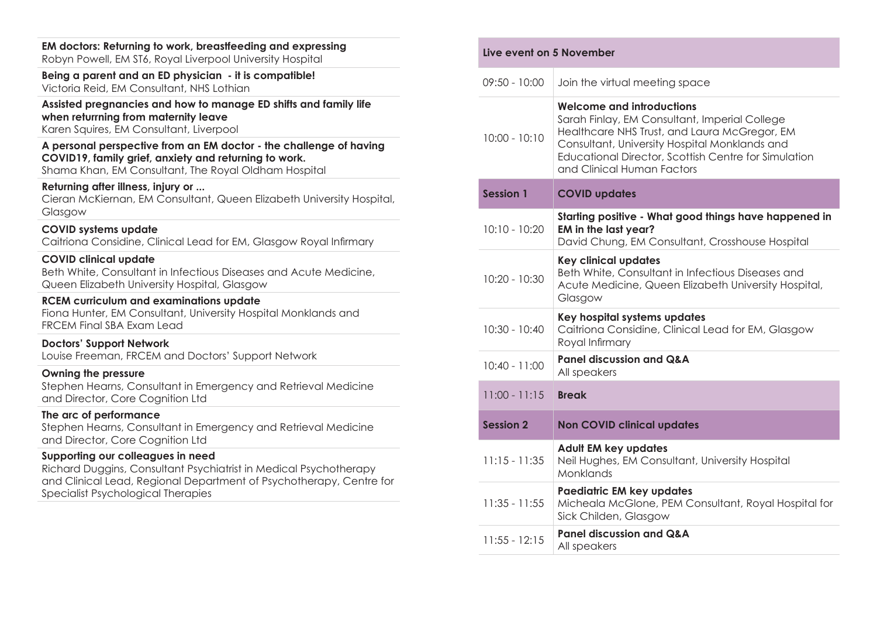| EM doctors: Returning to work, breastfeeding and expressing<br>Robyn Powell, EM ST6, Royal Liverpool University Hospital                                                            | Live event on 5 November |                                                                                                                                          |
|-------------------------------------------------------------------------------------------------------------------------------------------------------------------------------------|--------------------------|------------------------------------------------------------------------------------------------------------------------------------------|
| Being a parent and an ED physician - it is compatible!<br>Victoria Reid, EM Consultant, NHS Lothian                                                                                 | $09:50 - 10:00$          | Join the virtual meeting space                                                                                                           |
| Assisted pregnancies and how to manage ED shifts and family life<br>when returrning from maternity leave<br>Karen Squires, EM Consultant, Liverpool                                 | $10:00 - 10:10$          | <b>Welcome and introductions</b><br>Sarah Finlay, EM Consultant, Imperial College<br>Healthcare NHS Trust, and Laura McGregor, EM        |
| A personal perspective from an EM doctor - the challenge of having<br>COVID19, family grief, anxiety and returning to work.<br>Shama Khan, EM Consultant, The Royal Oldham Hospital |                          | Consultant, University Hospital Monklands and<br>Educational Director, Scottish Centre for Simulation<br>and Clinical Human Factors      |
| Returning after illness, injury or<br>Cieran McKiernan, EM Consultant, Queen Elizabeth University Hospital,<br>Glasgow                                                              | <b>Session 1</b>         | <b>COVID updates</b>                                                                                                                     |
| <b>COVID systems update</b><br>Caitriona Considine, Clinical Lead for EM, Glasgow Royal Infirmary                                                                                   | $10:10 - 10:20$          | Starting positive - What good things have happened in<br>EM in the last year?<br>David Chung, EM Consultant, Crosshouse Hospital         |
| <b>COVID clinical update</b><br>Beth White, Consultant in Infectious Diseases and Acute Medicine,<br>Queen Elizabeth University Hospital, Glasgow                                   | 10:20 - 10:30            | <b>Key clinical updates</b><br>Beth White, Consultant in Infectious Diseases and<br>Acute Medicine, Queen Elizabeth University Hospital, |
| <b>RCEM curriculum and examinations update</b><br>Fiona Hunter, EM Consultant, University Hospital Monklands and<br><b>FRCEM Final SBA Exam Lead</b>                                | $10:30 - 10:40$          | Glasgow<br>Key hospital systems updates<br>Caitriona Considine, Clinical Lead for EM, Glasgow                                            |
| <b>Doctors' Support Network</b><br>Louise Freeman, FRCEM and Doctors' Support Network                                                                                               |                          | Royal Infirmary                                                                                                                          |
| Owning the pressure                                                                                                                                                                 | $10:40 - 11:00$          | <b>Panel discussion and Q&amp;A</b><br>All speakers                                                                                      |
| Stephen Hearns, Consultant in Emergency and Retrieval Medicine<br>and Director, Core Cognition Ltd                                                                                  | $11:00 - 11:15$          | <b>Break</b>                                                                                                                             |
| The arc of performance<br>Stephen Hearns, Consultant in Emergency and Retrieval Medicine<br>and Director, Core Cognition Ltd                                                        | <b>Session 2</b>         | <b>Non COVID clinical updates</b>                                                                                                        |
| Supporting our colleagues in need<br>Richard Duggins, Consultant Psychiatrist in Medical Psychotherapy<br>and Clinical Lead, Regional Department of Psychotherapy, Centre for       | $11:15 - 11:35$          | Adult EM key updates<br>Neil Hughes, EM Consultant, University Hospital<br>Monklands                                                     |
| Specialist Psychological Therapies                                                                                                                                                  | $11:35 - 11:55$          | Paediatric EM key updates<br>Micheala McGlone, PEM Consultant, Royal Hospital for<br>Sick Childen, Glasgow                               |
|                                                                                                                                                                                     | $11:55 - 12:15$          | <b>Panel discussion and Q&amp;A</b><br>All speakers                                                                                      |